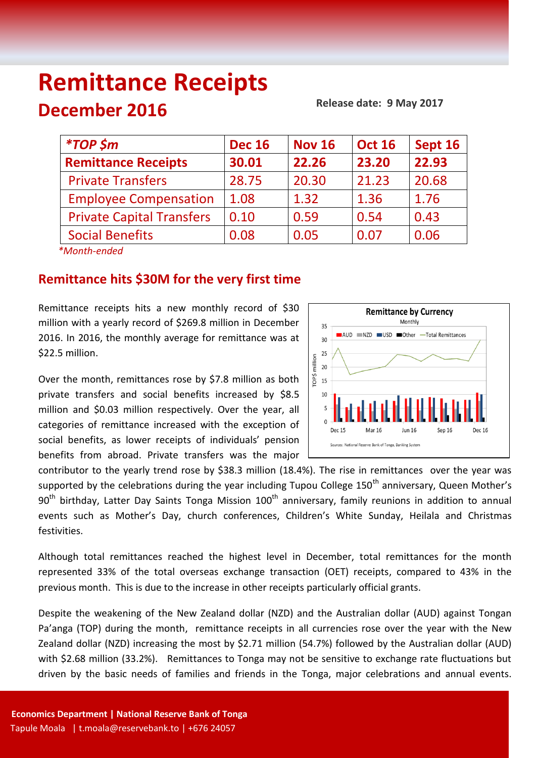# **Remittance Receipts December 2016**

### **Release date: 9 May 2017**

| <i>*TOP \$m</i>                  | <b>Dec 16</b> | <b>Nov 16</b> | <b>Oct 16</b> | Sept 16 |
|----------------------------------|---------------|---------------|---------------|---------|
| <b>Remittance Receipts</b>       | 30.01         | 22.26         | 23.20         | 22.93   |
| <b>Private Transfers</b>         | 28.75         | 20.30         | 21.23         | 20.68   |
| <b>Employee Compensation</b>     | 1.08          | 1.32          | 1.36          | 1.76    |
| <b>Private Capital Transfers</b> | 0.10          | 0.59          | 0.54          | 0.43    |
| <b>Social Benefits</b>           | 0.08          | 0.05          | 0.07          | 0.06    |
| $*Month and od$                  |               |               |               |         |

 *\*Month-ended*

## **Remittance hits \$30M for the very first time**

Remittance receipts hits a new monthly record of \$30 million with a yearly record of \$269.8 million in December 2016. In 2016, the monthly average for remittance was at \$22.5 million.

Over the month, remittances rose by \$7.8 million as both private transfers and social benefits increased by \$8.5 million and \$0.03 million respectively. Over the year, all categories of remittance increased with the exception of social benefits, as lower receipts of individuals' pension benefits from abroad. Private transfers was the major



contributor to the yearly trend rose by \$38.3 million (18.4%). The rise in remittances over the year was supported by the celebrations during the year including Tupou College 150<sup>th</sup> anniversary, Queen Mother's 90<sup>th</sup> birthday, Latter Day Saints Tonga Mission 100<sup>th</sup> anniversary, family reunions in addition to annual events such as Mother's Day, church conferences, Children's White Sunday, Heilala and Christmas festivities.

Although total remittances reached the highest level in December, total remittances for the month represented 33% of the total overseas exchange transaction (OET) receipts, compared to 43% in the previous month. This is due to the increase in other receipts particularly official grants.

Despite the weakening of the New Zealand dollar (NZD) and the Australian dollar (AUD) against Tongan Pa'anga (TOP) during the month, remittance receipts in all currencies rose over the year with the New Zealand dollar (NZD) increasing the most by \$2.71 million (54.7%) followed by the Australian dollar (AUD) with \$2.68 million (33.2%). Remittances to Tonga may not be sensitive to exchange rate fluctuations but driven by the basic needs of families and friends in the Tonga, major celebrations and annual events.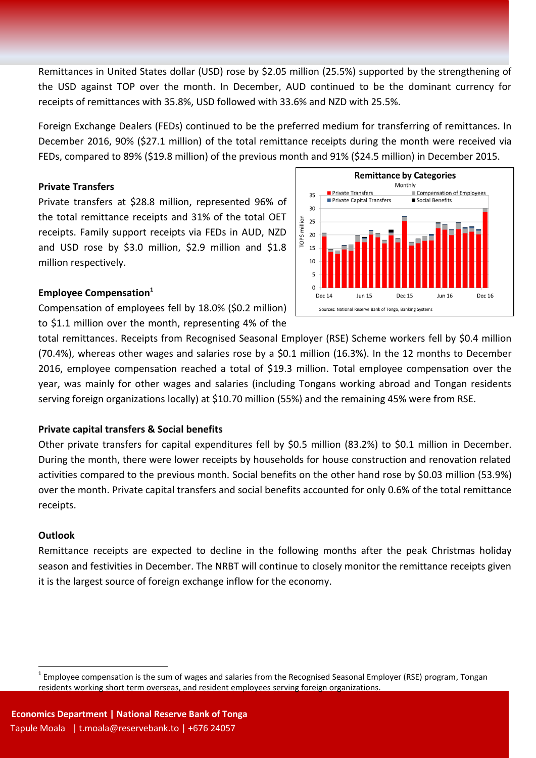Remittances in United States dollar (USD) rose by \$2.05 million (25.5%) supported by the strengthening of the USD against TOP over the month. In December, AUD continued to be the dominant currency for receipts of remittances with 35.8%, USD followed with 33.6% and NZD with 25.5%.

Foreign Exchange Dealers (FEDs) continued to be the preferred medium for transferring of remittances. In December 2016, 90% (\$27.1 million) of the total remittance receipts during the month were received via FEDs, compared to 89% (\$19.8 million) of the previous month and 91% (\$24.5 million) in December 2015.

### **Private Transfers**

Private transfers at \$28.8 million, represented 96% of the total remittance receipts and 31% of the total OET receipts. Family support receipts via FEDs in AUD, NZD and USD rose by \$3.0 million, \$2.9 million and \$1.8 million respectively.



### **Employee Compensation<sup>1</sup>**

Compensation of employees fell by 18.0% (\$0.2 million) to \$1.1 million over the month, representing 4% of the

total remittances. Receipts from Recognised Seasonal Employer (RSE) Scheme workers fell by \$0.4 million (70.4%), whereas other wages and salaries rose by a \$0.1 million (16.3%). In the 12 months to December 2016, employee compensation reached a total of \$19.3 million. Total employee compensation over the year, was mainly for other wages and salaries (including Tongans working abroad and Tongan residents serving foreign organizations locally) at \$10.70 million (55%) and the remaining 45% were from RSE.

## **Private capital transfers & Social benefits**

Other private transfers for capital expenditures fell by \$0.5 million (83.2%) to \$0.1 million in December. During the month, there were lower receipts by households for house construction and renovation related activities compared to the previous month. Social benefits on the other hand rose by \$0.03 million (53.9%) over the month. Private capital transfers and social benefits accounted for only 0.6% of the total remittance receipts.

#### **Outlook**

 $\overline{a}$ 

Remittance receipts are expected to decline in the following months after the peak Christmas holiday season and festivities in December. The NRBT will continue to closely monitor the remittance receipts given it is the largest source of foreign exchange inflow for the economy.

 $^1$  Employee compensation is the sum of wages and salaries from the Recognised Seasonal Employer (RSE) program, Tongan residents working short term overseas, and resident employees serving foreign organizations.